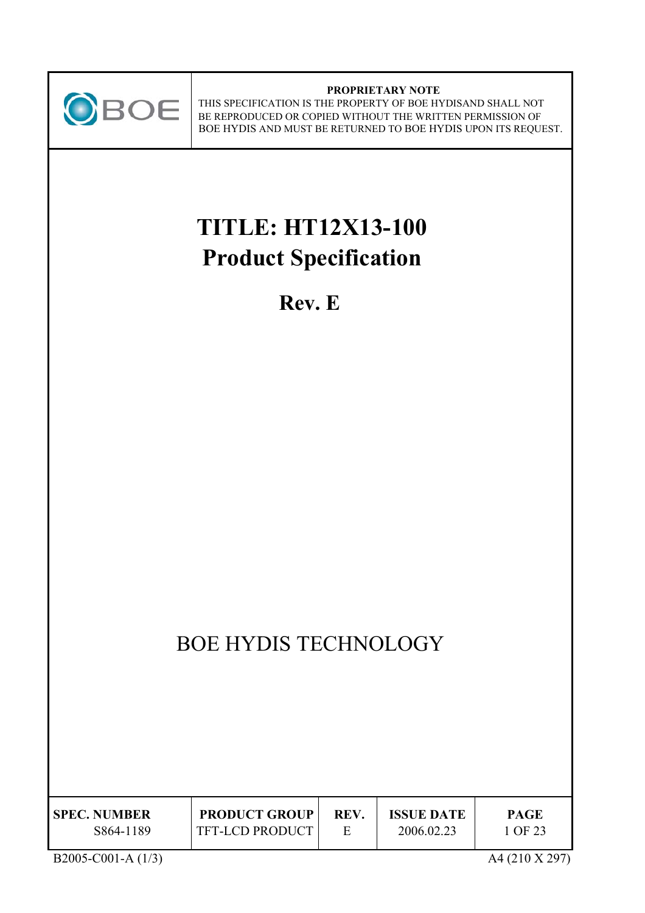

#### **PROPRIETARY NOTE** THIS SPECIFICATION IS THE PROPERTY OF BOE HYDISAND SHALL NOT BE REPRODUCED OR COPIED WITHOUT THE WRITTEN PERMISSION OF BOE HYDIS AND MUST BE RETURNED TO BOE HYDIS UPON ITS REQUEST.

# **TITLE: HT12X13-100 Product Specification**

**Rev. E** 

# BOE HYDIS TECHNOLOGY

| <b>SPEC. NUMBER</b> | <b>PRODUCT GROUP</b>   | <b>REV</b> | <b>ISSUE DATE</b> | <b>PAGE</b> |
|---------------------|------------------------|------------|-------------------|-------------|
| S864-1189           | <b>TFT-LCD PRODUCT</b> |            | 2006.02.23        | 1 OF 23     |

B2005-C001-A (1/3) A4 (210 X 297)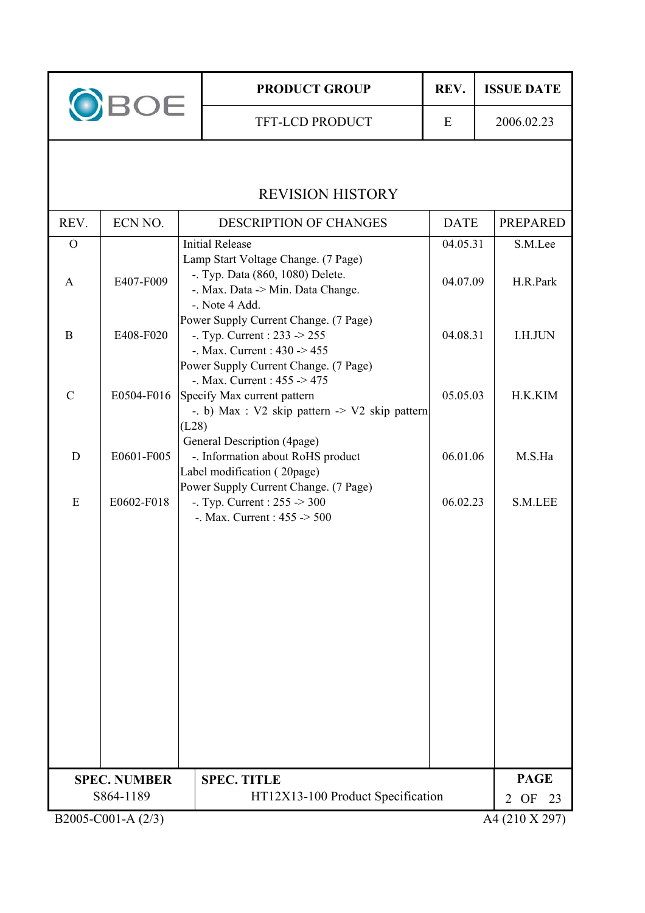| BOE            |                     |       | <b>PRODUCT GROUP</b>                                                                                                                                                    | REV.        | <b>ISSUE DATE</b>          |
|----------------|---------------------|-------|-------------------------------------------------------------------------------------------------------------------------------------------------------------------------|-------------|----------------------------|
|                |                     |       | <b>TFT-LCD PRODUCT</b>                                                                                                                                                  | E           | 2006.02.23                 |
|                |                     |       |                                                                                                                                                                         |             |                            |
|                |                     |       | <b>REVISION HISTORY</b>                                                                                                                                                 |             |                            |
| REV.           | ECN NO.             |       | <b>DESCRIPTION OF CHANGES</b>                                                                                                                                           | <b>DATE</b> | <b>PREPARED</b>            |
| $\overline{O}$ |                     |       | <b>Initial Release</b>                                                                                                                                                  | 04.05.31    | S.M.Lee                    |
| $\mathsf{A}$   | E407-F009           |       | Lamp Start Voltage Change. (7 Page)<br>-. Typ. Data (860, 1080) Delete.<br>-. Max. Data -> Min. Data Change.<br>-. Note 4 Add.                                          | 04.07.09    | H.R.Park                   |
| B              | E408-F020           |       | Power Supply Current Change. (7 Page)<br>-. Typ. Current : $233 \rightarrow 255$<br>-. Max. Current : $430 \div 455$                                                    | 04.08.31    | I.H.JUN                    |
| $\mathcal{C}$  | E0504-F016          |       | Power Supply Current Change. (7 Page)<br>-. Max. Current : $455 \rightarrow 475$<br>Specify Max current pattern<br>-. b) Max : $V2$ skip pattern $\sim V2$ skip pattern | 05.05.03    | H.K.KIM                    |
| D              | E0601-F005          | (L28) | General Description (4page)<br>-. Information about RoHS product<br>Label modification (20page)                                                                         | 06.01.06    | M.S.Ha                     |
| E              | E0602-F018          |       | Power Supply Current Change. (7 Page)<br>-. Typ. Current : $255 \ge 300$<br>-. Max. Current : $455 \div 500$                                                            | 06.02.23    | S.M.LEE                    |
|                |                     |       |                                                                                                                                                                         |             |                            |
|                |                     |       |                                                                                                                                                                         |             |                            |
|                |                     |       |                                                                                                                                                                         |             |                            |
|                |                     |       |                                                                                                                                                                         |             |                            |
|                |                     |       |                                                                                                                                                                         |             |                            |
|                |                     |       |                                                                                                                                                                         |             |                            |
|                | <b>SPEC. NUMBER</b> |       | <b>SPEC. TITLE</b>                                                                                                                                                      |             | <b>PAGE</b>                |
|                | S864-1189           |       | HT12X13-100 Product Specification                                                                                                                                       |             | OF<br>23<br>$\overline{2}$ |
|                | B2005-C001-A (2/3)  |       |                                                                                                                                                                         |             | A4 (210 X 297)             |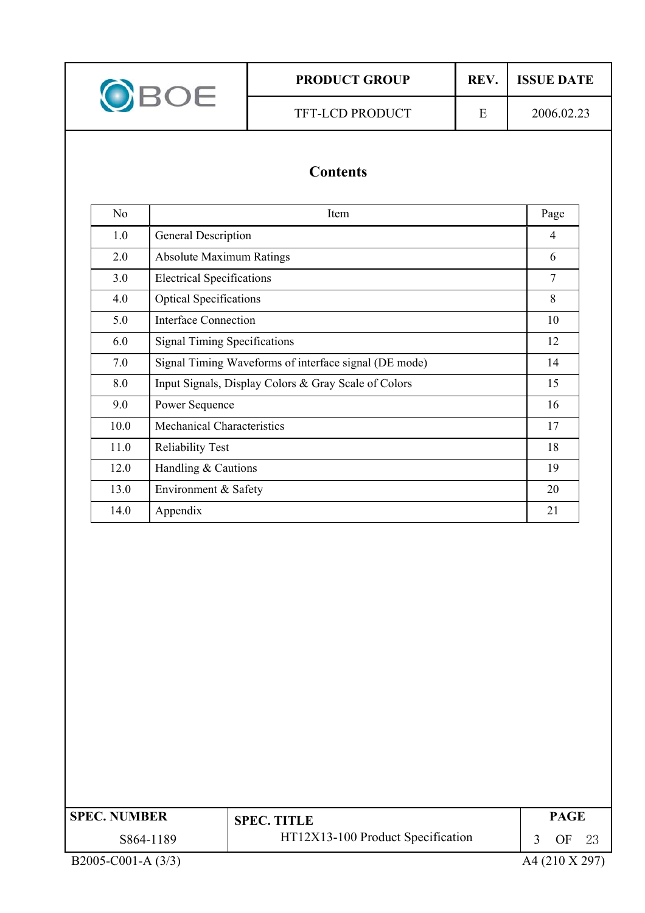|  | OBOE                                                                                                                                                                                                                                                                                                                                                |  | <b>PRODUCT GROUP</b> | REV.                     | <b>ISSUE DATE</b> |  |
|--|-----------------------------------------------------------------------------------------------------------------------------------------------------------------------------------------------------------------------------------------------------------------------------------------------------------------------------------------------------|--|----------------------|--------------------------|-------------------|--|
|  |                                                                                                                                                                                                                                                                                                                                                     |  | TFT-LCD PRODUCT      | E                        | 2006.02.23        |  |
|  | <b>Contents</b>                                                                                                                                                                                                                                                                                                                                     |  |                      |                          |                   |  |
|  | N <sub>o</sub>                                                                                                                                                                                                                                                                                                                                      |  | Item                 |                          | Page              |  |
|  | 1.0<br>General Description                                                                                                                                                                                                                                                                                                                          |  |                      | 4                        |                   |  |
|  | <b>Absolute Maximum Ratings</b><br>2.0                                                                                                                                                                                                                                                                                                              |  |                      | 6                        |                   |  |
|  | $\mathbf{r}$ $\mathbf{r}$ $\mathbf{r}$ $\mathbf{r}$ $\mathbf{r}$ $\mathbf{r}$ $\mathbf{r}$ $\mathbf{r}$ $\mathbf{r}$ $\mathbf{r}$ $\mathbf{r}$ $\mathbf{r}$ $\mathbf{r}$ $\mathbf{r}$ $\mathbf{r}$ $\mathbf{r}$ $\mathbf{r}$ $\mathbf{r}$ $\mathbf{r}$ $\mathbf{r}$ $\mathbf{r}$ $\mathbf{r}$ $\mathbf{r}$ $\mathbf{r}$ $\mathbf{$<br>$\sim$ $\sim$ |  |                      | $\overline{\phantom{0}}$ |                   |  |

| N <sub>o</sub> | Item                                                  | Page |
|----------------|-------------------------------------------------------|------|
| 1.0            | General Description                                   | 4    |
| 2.0            | <b>Absolute Maximum Ratings</b>                       | 6    |
| 3.0            | <b>Electrical Specifications</b>                      | 7    |
| 4.0            | <b>Optical Specifications</b>                         | 8    |
| 5.0            | <b>Interface Connection</b>                           | 10   |
| 6.0            | <b>Signal Timing Specifications</b>                   | 12   |
| 7.0            | Signal Timing Waveforms of interface signal (DE mode) | 14   |
| 8.0            | Input Signals, Display Colors & Gray Scale of Colors  | 15   |
| 9.0            | Power Sequence                                        | 16   |
| 10.0           | <b>Mechanical Characteristics</b>                     | 17   |
| 11.0           | <b>Reliability Test</b>                               | 18   |
| 12.0           | Handling & Cautions                                   | 19   |
| 13.0           | Environment & Safety                                  | 20   |
| 14.0           | Appendix                                              | 21   |

| <b>SPEC. NUMBER</b>  | <b>SPEC. TITLE</b>                | <b>PAGE</b>    |     |
|----------------------|-----------------------------------|----------------|-----|
| S864-1189            | HT12X13-100 Product Specification | OF             | -23 |
| B2005-C001-A $(3/3)$ |                                   | A4 (210 X 297) |     |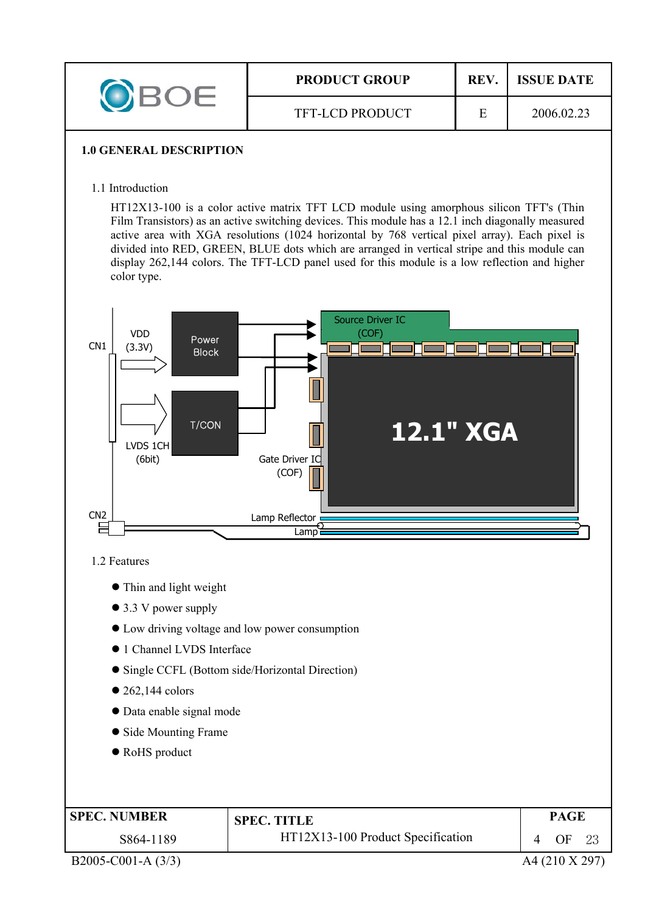|  | <b>PRODUCT GROUP</b>   | <b>REV</b> | <b>ISSUE DATE</b> |
|--|------------------------|------------|-------------------|
|  | <b>TFT-LCD PRODUCT</b> |            | 2006.02.23        |

#### **1.0 GENERAL DESCRIPTION**

1.1 Introduction

HT12X13-100 is a color active matrix TFT LCD module using amorphous silicon TFT's (Thin Film Transistors) as an active switching devices. This module has a 12.1 inch diagonally measured active area with XGA resolutions (1024 horizontal by 768 vertical pixel array). Each pixel is divided into RED, GREEN, BLUE dots which are arranged in vertical stripe and this module can display 262,144 colors. The TFT-LCD panel used for this module is a low reflection and higher color type.



1.2 Features

- Thin and light weight
- $\bullet$  3.3 V power supply
- $\bullet$  Low driving voltage and low power consumption
- $\bullet$  1 Channel LVDS Interface
- Single CCFL (Bottom side/Horizontal Direction)
- $\bullet$  262,144 colors
- Data enable signal mode
- Side Mounting Frame
- RoHS product

| <b>SPEC. NUMBER</b> | <b>SPEC. TITLE</b>                | PAGE |  |
|---------------------|-----------------------------------|------|--|
| S864-1189           | HT12X13-100 Product Specification | OF   |  |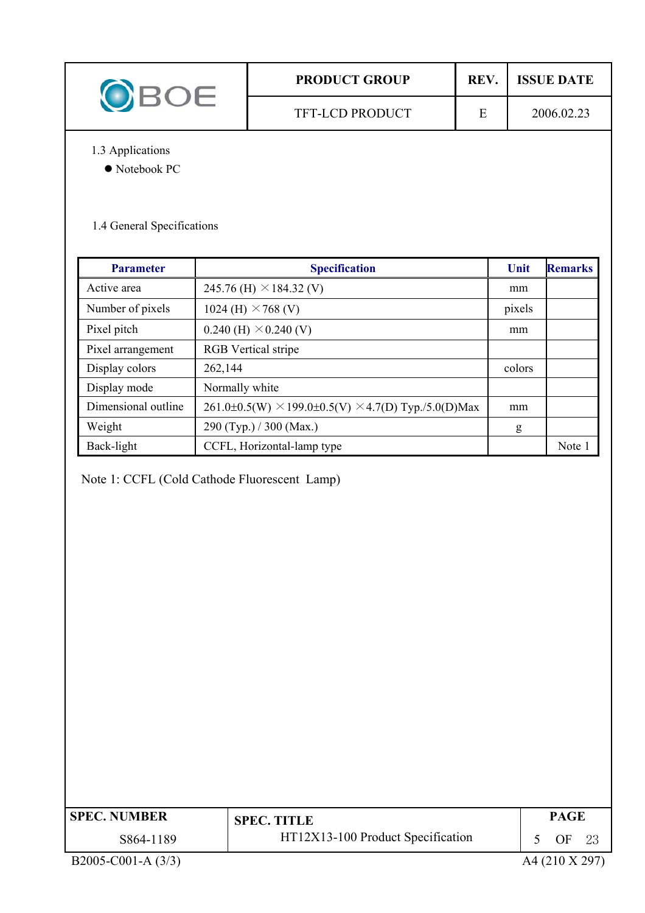|                  | <b>PRODUCT GROUP</b>   | <b>REV</b> | <b>ISSUE DATE</b> |
|------------------|------------------------|------------|-------------------|
|                  | <b>TFT-LCD PRODUCT</b> | E          | 2006.02.23        |
| 1.3 Applications |                        |            |                   |

 $\bullet$  Notebook PC

# 1.4 General Specifications

| <b>Parameter</b>    | <b>Specification</b>                                                | Unit   | <b>Remarks</b> |
|---------------------|---------------------------------------------------------------------|--------|----------------|
| Active area         | 245.76 (H) $\times$ 184.32 (V)                                      | mm     |                |
| Number of pixels    | 1024 (H) $\times$ 768 (V)                                           | pixels |                |
| Pixel pitch         | $0.240$ (H) $\times$ 0.240 (V)                                      | mm     |                |
| Pixel arrangement   | <b>RGB</b> Vertical stripe                                          |        |                |
| Display colors      | 262,144                                                             | colors |                |
| Display mode        | Normally white                                                      |        |                |
| Dimensional outline | $261.0\pm0.5(W) \times 199.0\pm0.5(V) \times 4.7(D)$ Typ./5.0(D)Max | mm     |                |
| Weight              | 290 (Typ.) / 300 (Max.)                                             | g      |                |
| Back-light          | CCFL, Horizontal-lamp type                                          |        | Note 1         |

Note 1: CCFL (Cold Cathode Fluorescent Lamp)

| <b>SPEC. NUMBER</b> | <b>SPEC. TITLE</b>                | PAGE |  |
|---------------------|-----------------------------------|------|--|
| S864-1189           | HT12X13-100 Product Specification | OF   |  |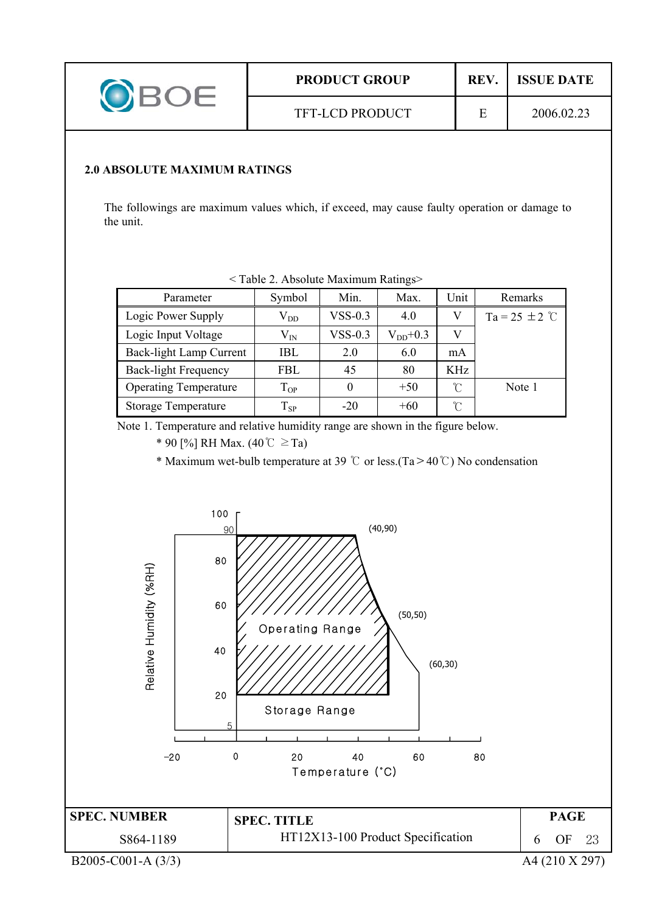|  | <b>PRODUCT GROUP</b>   | <b>REV</b> | <b>ISSUE DATE</b> |
|--|------------------------|------------|-------------------|
|  | <b>TFT-LCD PRODUCT</b> |            | 2006.02.23        |

#### **2.0 ABSOLUTE MAXIMUM RATINGS**

The followings are maximum values which, if exceed, may cause faulty operation or damage to the unit.

| Parameter                    | Symbol       | Min.      | Max.         | Unit | Remarks            |  |  |
|------------------------------|--------------|-----------|--------------|------|--------------------|--|--|
| Logic Power Supply           | $\rm V_{DD}$ | $VSS-0.3$ | 4.0          |      | Ta = 25 $\pm$ 2 °C |  |  |
| Logic Input Voltage          | $\rm V_{IN}$ | $VSS-0.3$ | $V_{DD}+0.3$ | V    |                    |  |  |
| Back-light Lamp Current      | IBL.         | 2.0       | 6.0          | mA   |                    |  |  |
| <b>Back-light Frequency</b>  | <b>FBL</b>   | 45        | 80           | KHz  |                    |  |  |
| <b>Operating Temperature</b> | $T_{OP}$     |           | $+50$        | U    | Note 1             |  |  |
| <b>Storage Temperature</b>   | $T_{SP}$     | $-20$     | $+60$        | ∽    |                    |  |  |

< Table 2. Absolute Maximum Ratings>

Note 1. Temperature and relative humidity range are shown in the figure below.

\* 90  $[%]$  RH Max.  $(40^{\circ}C \geq Ta)$ 

\* Maximum wet-bulb temperature at 39  $\degree$  or less.(Ta > 40  $\degree$ ) No condensation

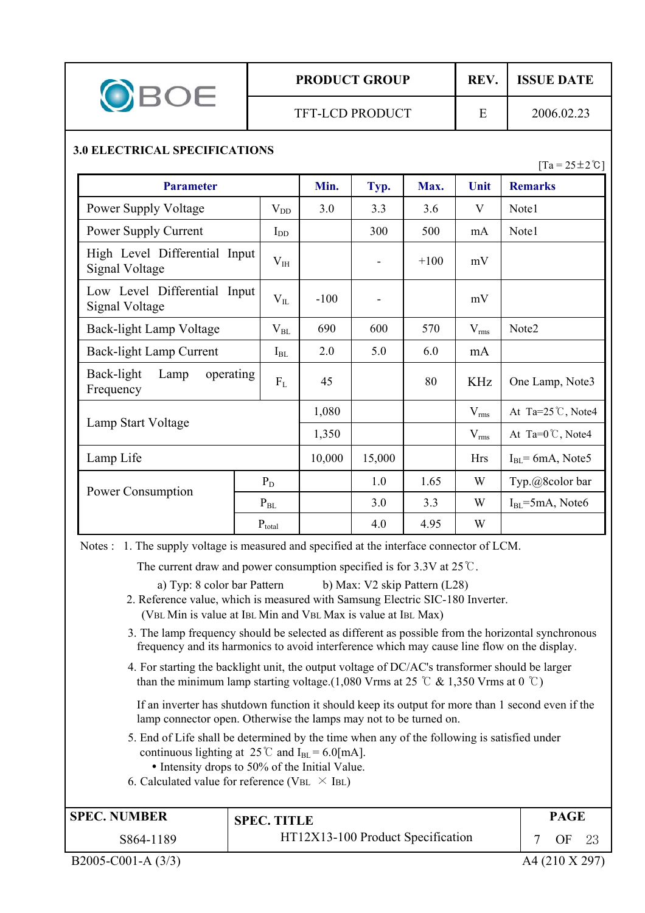# **PRODUCT GROUP REV. ISSUE DATE**

### **3.0 ELECTRICAL SPECIFICATIONS**

 $[Ta = 25 \pm 2 \degree C]$ 

| <b>Parameter</b>                                |                            | Min.   | Typ. | Max.       | Unit                | <b>Remarks</b>               |
|-------------------------------------------------|----------------------------|--------|------|------------|---------------------|------------------------------|
| Power Supply Voltage                            | $V_{DD}$                   | 3.0    | 3.3  | 3.6        | V                   | Note1                        |
| Power Supply Current                            | $I_{DD}$                   |        | 300  | 500        | mA                  | Note1                        |
| High Level Differential Input<br>Signal Voltage | $V_{IH}$                   |        |      | $+100$     | mV                  |                              |
| Low Level Differential Input<br>Signal Voltage  | $V_{IL}$                   | $-100$ |      |            | mV                  |                              |
| Back-light Lamp Voltage                         | $\rm V_{BL}$               | 690    | 600  | 570        | $V_{rms}$           | Note2                        |
| Back-light Lamp Current                         | $I_{BL}$                   | 2.0    | 5.0  | 6.0        | mA                  |                              |
| Back-light<br>Lamp<br>operating<br>Frequency    | $F_{L}$                    | 45     |      | 80         | <b>KHz</b>          | One Lamp, Note3              |
|                                                 |                            | 1,080  |      |            | $V_{rms}$           | At Ta= $25^{\circ}$ C, Note4 |
| Lamp Start Voltage                              |                            | 1,350  |      |            | $V_{rms}$           | At Ta= $0^{\circ}$ C, Note4  |
| Lamp Life                                       | 10,000                     | 15,000 |      | <b>Hrs</b> | $IBL = 6mA$ , Note5 |                              |
| Power Consumption                               | $P_D$                      |        | 1.0  | 1.65       | W                   | Typ.@8color bar              |
|                                                 | $\mathbf{P}_{\mathrm{BL}}$ |        | 3.0  | 3.3        | W                   | $I_{BL}$ =5mA, Note6         |
|                                                 | $P_{total}$                |        | 4.0  | 4.95       | W                   |                              |

Notes : 1. The supply voltage is measured and specified at the interface connector of LCM.

The current draw and power consumption specified is for  $3.3V$  at  $25^{\circ}$ C.

a) Typ: 8 color bar Pattern b) Max: V2 skip Pattern (L28)

 2. Reference value, which is measured with Samsung Electric SIC-180 Inverter. (VBL Min is value at IBL Min and VBL Max is value at IBL Max)

- 3. The lamp frequency should be selected as different as possible from the horizontal synchronous frequency and its harmonics to avoid interference which may cause line flow on the display.
- 4. For starting the backlight unit, the output voltage of DC/AC's transformer should be larger than the minimum lamp starting voltage.(1,080 Vrms at 25  $\degree$  & 1,350 Vrms at 0  $\degree$ C)

If an inverter has shutdown function it should keep its output for more than 1 second even if the lamp connector open. Otherwise the lamps may not to be turned on.

- 5. End of Life shall be determined by the time when any of the following is satisfied under continuous lighting at  $25^{\circ}$  and I<sub>BL</sub> = 6.0[mA].
	- Intensity drops to 50% of the Initial Value.
- 6. Calculated value for reference (VBL  $\times$  IBL)

| <b>SPEC. NUMBER</b> | <b>SPEC. TITLE</b>                | <b>PAGE</b> |    |
|---------------------|-----------------------------------|-------------|----|
| S864-1189           | HT12X13-100 Product Specification | ОF          | ີດ |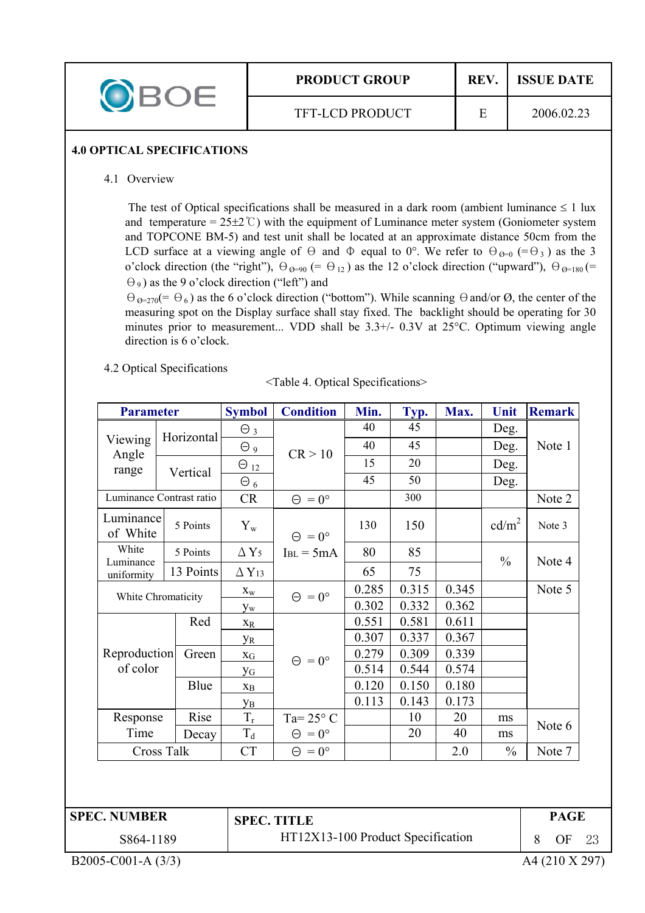| <b>PRODUCT GROUP</b>   | <b>REV</b> | <b>ISSUE DATE</b> |  |
|------------------------|------------|-------------------|--|
| <b>TFT-LCD PRODUCT</b> |            | 2006.02.23        |  |

#### **4.0 OPTICAL SPECIFICATIONS**

4.1 Overview

The test of Optical specifications shall be measured in a dark room (ambient luminance  $\leq 1$  lux and temperature =  $25\pm2^{\circ}$ ) with the equipment of Luminance meter system (Goniometer system and TOPCONE BM-5) and test unit shall be located at an approximate distance 50cm from the LCD surface at a viewing angle of  $\Theta$  and  $\Phi$  equal to 0°. We refer to  $\Theta_{\Theta=0}$  (= $\Theta_3$ ) as the 3 o'clock direction (the "right"),  $\Theta_{\varnothing=90}$  (=  $\Theta_{12}$ ) as the 12 o'clock direction ("upward"),  $\Theta_{\varnothing=180}$  (=  $(\Theta_9)$  as the 9 o'clock direction ("left") and

 $\Theta_{\mathcal{O}=270}(=\Theta_6)$  as the 6 o'clock direction ("bottom"). While scanning  $\Theta$  and/or  $\emptyset$ , the center of the measuring spot on the Display surface shall stay fixed. The backlight should be operating for 30 minutes prior to measurement... VDD shall be  $3.3+/$ - 0.3V at  $25^{\circ}$ C. Optimum viewing angle direction is 6 o'clock.

4.2 Optical Specifications

|  |  | <table 4.="" optical="" specifications=""></table> |
|--|--|----------------------------------------------------|

| <b>Parameter</b>         |          | <b>Symbol</b>                                                                     | <b>Condition</b>                              | Min.                                                    | Typ.  | Max.  | Unit              | <b>Remark</b> |
|--------------------------|----------|-----------------------------------------------------------------------------------|-----------------------------------------------|---------------------------------------------------------|-------|-------|-------------------|---------------|
|                          |          | $\Theta_3$                                                                        |                                               | 40                                                      | 45    |       | Deg.              |               |
|                          |          | $\Theta$ 9                                                                        |                                               | 40                                                      | 45    |       | Deg.              | Note 1        |
|                          |          |                                                                                   |                                               | 15                                                      | 20    |       | Deg.              |               |
|                          |          |                                                                                   |                                               | 45                                                      | 50    |       | Deg.              |               |
| Luminance Contrast ratio |          | CR                                                                                | $\Theta = 0^{\circ}$                          |                                                         | 300   |       |                   | Note 2        |
| Luminance<br>of White    | 5 Points | $Y_{w}$                                                                           | $\Theta = 0^{\circ}$                          | 130                                                     | 150   |       | cd/m <sup>2</sup> | Note 3        |
|                          | 5 Points | $\Delta$ Y <sub>5</sub>                                                           | $I_{BL} = 5mA$                                | 80                                                      | 85    |       |                   |               |
|                          |          | $\Delta$ Y <sub>13</sub>                                                          |                                               | 65                                                      | 75    |       |                   | Note 4        |
|                          |          | $\mathbf{X}_\mathbf{W}$                                                           |                                               | 0.285                                                   | 0.315 | 0.345 |                   | Note 5        |
|                          |          | $y_w$                                                                             |                                               | 0.302                                                   | 0.332 | 0.362 |                   |               |
|                          | Red      | $X_R$                                                                             |                                               | 0.551                                                   | 0.581 | 0.611 |                   |               |
|                          |          | <b>y</b> <sub>R</sub>                                                             |                                               | 0.307                                                   | 0.337 | 0.367 |                   |               |
|                          | Green    | $X_G$                                                                             |                                               | 0.279                                                   | 0.309 | 0.339 |                   |               |
| of color                 |          | <b>y</b> <sub>G</sub>                                                             |                                               | 0.514                                                   | 0.544 | 0.574 |                   |               |
|                          | Blue     | $\mathbf{X}_{\text{B}}$                                                           |                                               | 0.120                                                   | 0.150 | 0.180 |                   |               |
|                          |          | Ув                                                                                |                                               | 0.113                                                   | 0.143 | 0.173 |                   |               |
| Response                 |          | $\rm T_r$                                                                         | Ta= $25^{\circ}$ C                            |                                                         | 10    | 20    | ms                | Note 6        |
|                          | Decay    |                                                                                   | $\Theta = 0^{\circ}$                          |                                                         | 20    | 40    | ms                |               |
| <b>Cross Talk</b>        |          | <b>CT</b>                                                                         | $\Theta = 0^{\circ}$                          |                                                         |       | 2.0   | $\frac{0}{0}$     | Note 7        |
|                          |          | Horizontal<br>Vertical<br>13 Points<br>White Chromaticity<br>Reproduction<br>Rise | $\Theta$ <sub>12</sub><br>$\Theta_6$<br>$T_d$ | CR > 10<br>$\Theta = 0^{\circ}$<br>$\Theta = 0^{\circ}$ |       |       |                   | $\frac{0}{0}$ |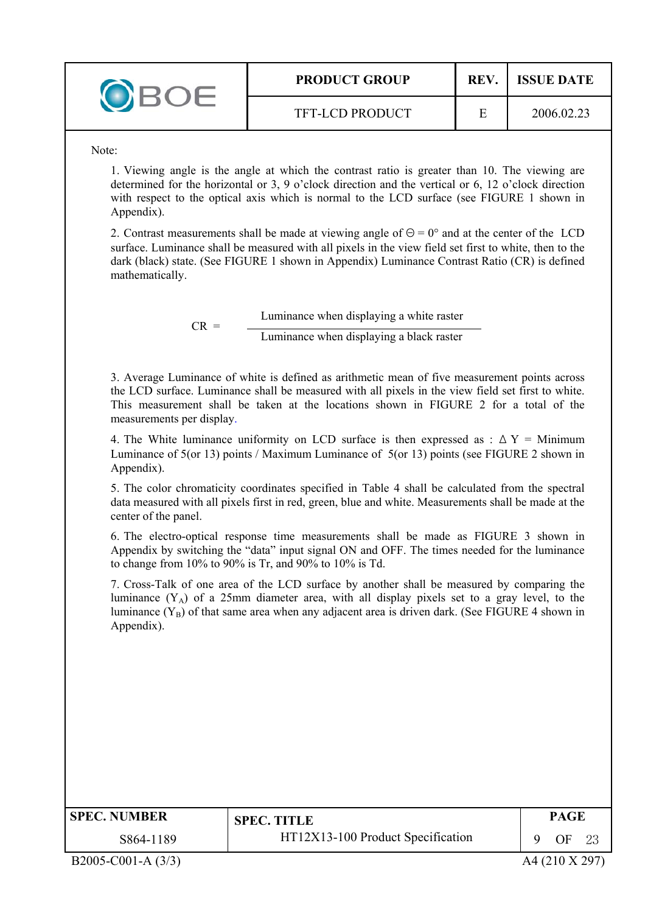| <b>PRODUCT GROUP</b>   | <b>REV</b> | <b>ISSUE DATE</b> |
|------------------------|------------|-------------------|
| <b>TFT-LCD PRODUCT</b> |            | 2006.02.23        |

Note:

1. Viewing angle is the angle at which the contrast ratio is greater than 10. The viewing are determined for the horizontal or 3, 9 o'clock direction and the vertical or 6, 12 o'clock direction with respect to the optical axis which is normal to the LCD surface (see FIGURE 1 shown in Appendix).

2. Contrast measurements shall be made at viewing angle of  $\Theta = 0^{\circ}$  and at the center of the LCD surface. Luminance shall be measured with all pixels in the view field set first to white, then to the dark (black) state. (See FIGURE 1 shown in Appendix) Luminance Contrast Ratio (CR) is defined mathematically.

> $CR =$  Luminance when displaying a white raster Luminance when displaying a black raster

3. Average Luminance of white is defined as arithmetic mean of five measurement points across the LCD surface. Luminance shall be measured with all pixels in the view field set first to white. This measurement shall be taken at the locations shown in FIGURE 2 for a total of the measurements per display.

4. The White luminance uniformity on LCD surface is then expressed as :  $\Delta Y =$  Minimum Luminance of 5(or 13) points / Maximum Luminance of 5(or 13) points (see FIGURE 2 shown in Appendix).

5. The color chromaticity coordinates specified in Table 4 shall be calculated from the spectral data measured with all pixels first in red, green, blue and white. Measurements shall be made at the center of the panel.

6. The electro-optical response time measurements shall be made as FIGURE 3 shown in Appendix by switching the "data" input signal ON and OFF. The times needed for the luminance to change from 10% to 90% is Tr, and 90% to 10% is Td.

7. Cross-Talk of one area of the LCD surface by another shall be measured by comparing the luminance  $(Y_A)$  of a 25mm diameter area, with all display pixels set to a gray level, to the luminance  $(Y_B)$  of that same area when any adjacent area is driven dark. (See FIGURE 4 shown in Appendix).

| <b>SPEC. NUMBER</b> | <b>SPEC. TITLE</b>                | <b>PAGE</b> |  |
|---------------------|-----------------------------------|-------------|--|
| S864-1189           | HT12X13-100 Product Specification | ΩE          |  |

B2005-C001-A (3/3) A4 (210 X 297)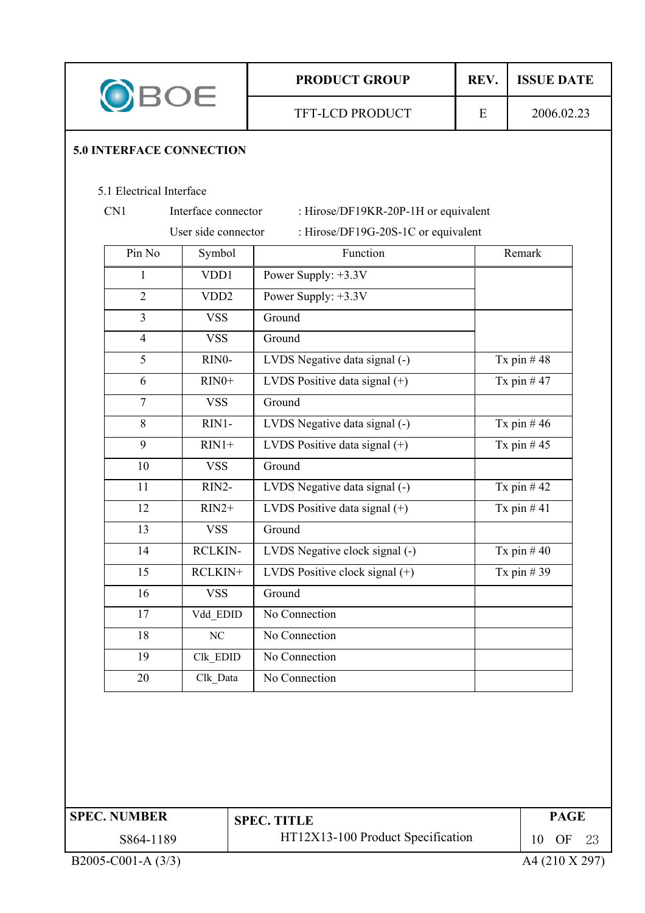| OBOE |                                 |                     | <b>PRODUCT GROUP</b> |                                      | <b>ISSUE DATE</b> |                       |
|------|---------------------------------|---------------------|----------------------|--------------------------------------|-------------------|-----------------------|
|      | <b>5.0 INTERFACE CONNECTION</b> |                     |                      | <b>TFT-LCD PRODUCT</b>               | E                 | 2006.02.23            |
|      |                                 |                     |                      |                                      |                   |                       |
|      | 5.1 Electrical Interface        |                     |                      |                                      |                   |                       |
|      | CN1                             | Interface connector |                      | : Hirose/DF19KR-20P-1H or equivalent |                   |                       |
|      |                                 | User side connector |                      | : Hirose/DF19G-20S-1C or equivalent  |                   |                       |
|      | Pin No                          | Symbol              |                      | Function                             |                   | Remark                |
|      | $\mathbf{1}$                    | VDD1                |                      | Power Supply: +3.3V                  |                   |                       |
|      | $\overline{2}$                  | VD <sub>D</sub> 2   |                      | Power Supply: +3.3V                  |                   |                       |
|      | $\overline{3}$                  | <b>VSS</b>          |                      | Ground                               |                   |                       |
|      | $\overline{4}$                  | <b>VSS</b>          |                      | Ground                               |                   |                       |
|      | 5                               | RINO-               |                      | LVDS Negative data signal (-)        |                   | Tx pin $#48$          |
|      | 6                               | $RIN0+$             |                      | LVDS Positive data signal (+)        |                   | Tx pin $#47$          |
|      | $\tau$                          | <b>VSS</b>          |                      | Ground                               |                   |                       |
|      | 8                               | RIN1-               |                      | LVDS Negative data signal (-)        |                   | Tx pin $#46$          |
|      | 9                               | $RIN1+$             |                      | LVDS Positive data signal (+)        |                   | Tx pin $#45$          |
|      | 10                              | <b>VSS</b>          |                      | Ground                               |                   |                       |
|      | 11                              | RIN2-               |                      | LVDS Negative data signal (-)        |                   | Tx pin $#42$          |
|      | 12                              | $RIN2+$             |                      | LVDS Positive data signal $(+)$      |                   | Tx pin $#41$          |
|      | 13                              | <b>VSS</b>          |                      | Ground                               |                   |                       |
|      | 14                              | <b>RCLKIN-</b>      |                      | LVDS Negative clock signal (-)       |                   | Tx pin $#40$          |
|      | 15                              | RCLKIN+             |                      | LVDS Positive clock signal $(+)$     |                   | Tx pin $#39$          |
|      | 16                              | <b>VSS</b>          |                      | Ground                               |                   |                       |
|      | 17                              | Vdd EDID            |                      | No Connection                        |                   |                       |
|      | 18                              | $\rm NC$            |                      | No Connection                        |                   |                       |
|      | 19                              | Clk_EDID            |                      | No Connection                        |                   |                       |
|      | 20                              | Clk Data            |                      | No Connection                        |                   |                       |
|      |                                 |                     |                      |                                      |                   |                       |
|      | <b>SPEC. NUMBER</b>             |                     |                      | <b>SPEC. TITLE</b>                   |                   | <b>PAGE</b>           |
|      | S864-1189                       |                     |                      | HT12X13-100 Product Specification    |                   | 10<br><b>OF</b><br>23 |
|      | B2005-C001-A (3/3)              |                     |                      |                                      |                   | A4 (210 X 297)        |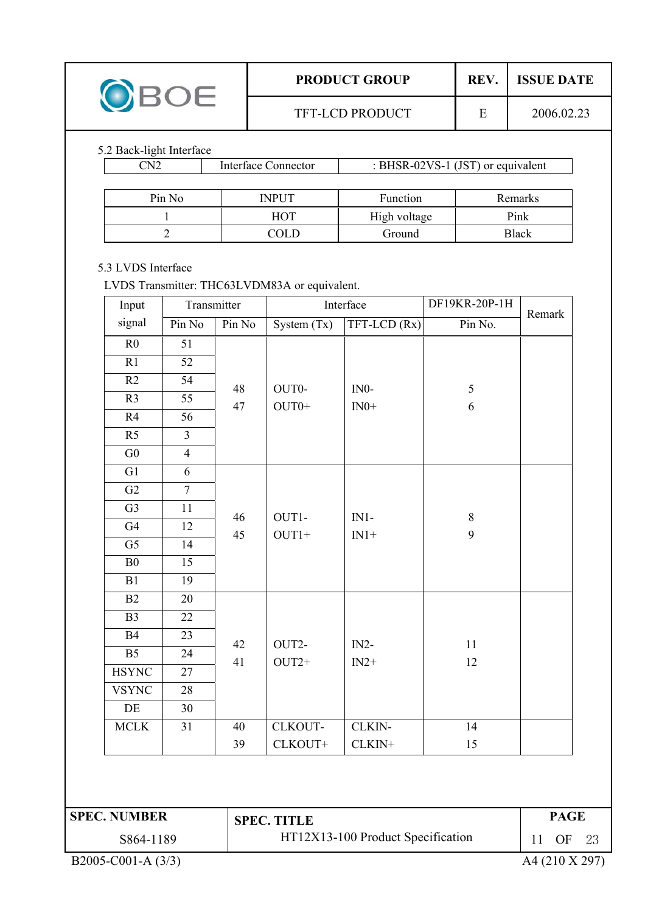| <b>PRODUCT GROUP</b>   | REV | <b>ISSUE DATE</b> |
|------------------------|-----|-------------------|
| <b>TFT-LCD PRODUCT</b> |     | 2006.02.23        |

### 5.2 Back-light Interface

| 'N2    | <b>Interface Connector</b> | : BHSR-02VS-1 (JST) or equivalent |              |  |  |
|--------|----------------------------|-----------------------------------|--------------|--|--|
|        |                            |                                   |              |  |  |
| Pin No | <b>INPUT</b>               | <b>Function</b>                   | Remarks      |  |  |
|        | <b>HOT</b>                 | High voltage                      | Pink         |  |  |
|        | COLD                       | Ground                            | <b>Black</b> |  |  |

#### 5.3 LVDS Interface

LVDS Transmitter: THC63LVDM83A or equivalent.

| Input          | Transmitter     |          | Interface     |              | DF19KR-20P-1H | Remark |
|----------------|-----------------|----------|---------------|--------------|---------------|--------|
| signal         | Pin No          | Pin No   | System $(Tx)$ | TFT-LCD (Rx) | Pin No.       |        |
| R <sub>0</sub> | 51              |          |               |              |               |        |
| R1             | 52              |          |               |              |               |        |
| R2             | 54              | 48       | OUT0-         | $IN0-$       | 5             |        |
| R <sub>3</sub> | $\overline{55}$ | 47       | $OUT0+$       | $IN0+$       | 6             |        |
| R4             | 56              |          |               |              |               |        |
| R <sub>5</sub> | $\overline{3}$  |          |               |              |               |        |
| G <sub>0</sub> | $\overline{4}$  |          |               |              |               |        |
| G1             | 6               |          |               |              |               |        |
| G2             | $\overline{7}$  | 46<br>45 |               |              |               |        |
| G <sub>3</sub> | 11              |          | OUT1-         | $IN1-$       | $8\,$         |        |
| G4             | 12              |          | $OUT1+$       | $IN1+$       | 9             |        |
| G <sub>5</sub> | 14              |          |               |              |               |        |
| B <sub>0</sub> | 15              |          |               |              |               |        |
| B1             | 19              |          |               |              |               |        |
| B2             | 20              |          |               |              |               |        |
| B <sub>3</sub> | 22              |          |               |              |               |        |
| <b>B4</b>      | 23              | 42       | OUT2-         | $IN2-$       | 11            |        |
| B <sub>5</sub> | 24              | 41       | $OUT2+$       | $IN2+$       | 12            |        |
| <b>HSYNC</b>   | 27              |          |               |              |               |        |
| <b>VSYNC</b>   | 28              |          |               |              |               |        |
| DE             | 30              |          |               |              |               |        |
| <b>MCLK</b>    | 31              | 40       | CLKOUT-       | CLKIN-       | 14            |        |
|                |                 | 39       | CLKOUT+       | CLKIN+       | 15            |        |

| <b>SPEC. NUMBER</b> | <b>SPEC. TITLE</b>                | PAGE |   |
|---------------------|-----------------------------------|------|---|
| S864-1189           | HT12X13-100 Product Specification | ΟF   | ാ |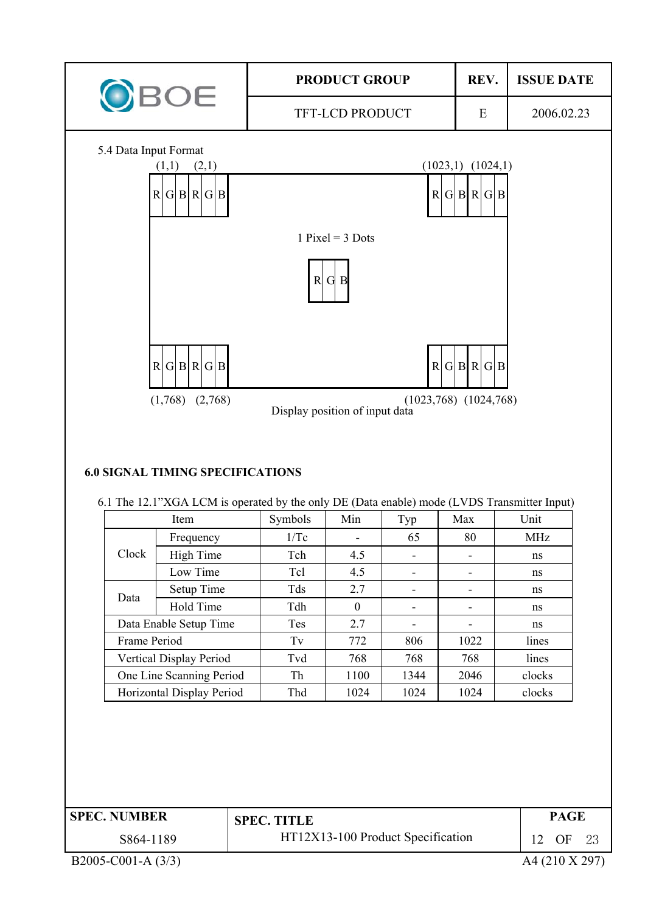![](_page_11_Figure_0.jpeg)

| <b>SPEC. NUMBER</b> | <b>SPEC. TITLE</b>                | PAGE         |    |
|---------------------|-----------------------------------|--------------|----|
| S864-1189           | HT12X13-100 Product Specification | OF           | 23 |
| $\frac{1}{2}$       |                                   | . . <i>.</i> |    |

B2005-C001-A (3/3) A4 (210 X 297)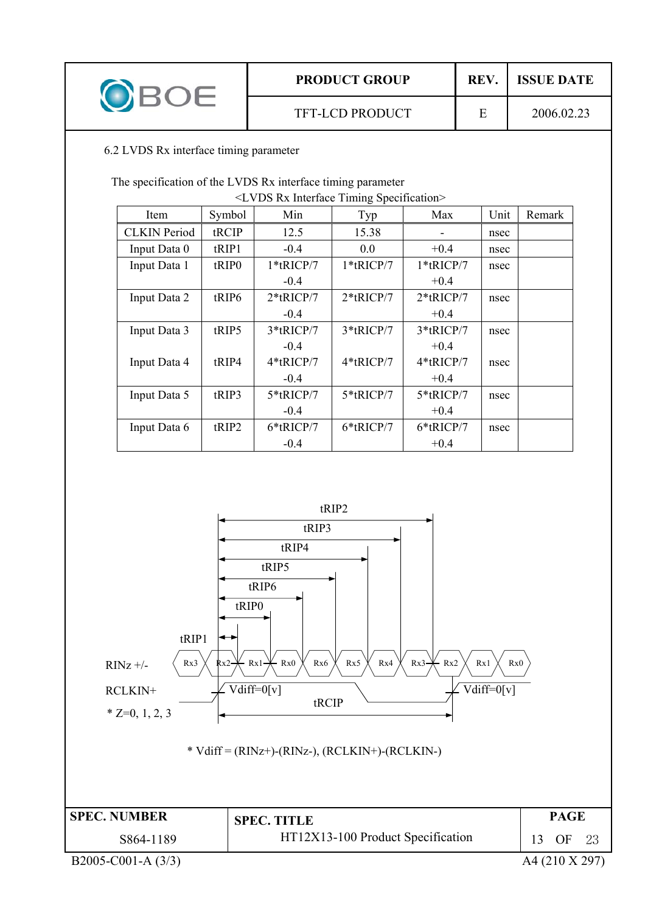|  | <b>PRODUCT GROUP</b>   | <b>REV</b> | <b>ISSUE DATE</b> |  |
|--|------------------------|------------|-------------------|--|
|  | <b>TFT-LCD PRODUCT</b> |            | 2006.02.23        |  |

6.2 LVDS Rx interface timing parameter

The specification of the LVDS Rx interface timing parameter

| <lvds interface="" rx="" specification="" timing=""></lvds> |                   |              |              |              |      |        |  |
|-------------------------------------------------------------|-------------------|--------------|--------------|--------------|------|--------|--|
| Item                                                        | Symbol            | Min          | Typ          | Max          | Unit | Remark |  |
| <b>CLKIN</b> Period                                         | tRCIP             | 12.5         | 15.38        |              | nsec |        |  |
| Input Data 0                                                | tRIP1             | $-0.4$       | 0.0          | $+0.4$       | nsec |        |  |
| Input Data 1                                                | tRIP <sub>0</sub> | 1*tRICP/7    | 1*tRICP/7    | 1*tRICP/7    | nsec |        |  |
|                                                             |                   | $-0.4$       |              | $+0.4$       |      |        |  |
| Input Data 2                                                | tRIP6             | $2*$ tRICP/7 | $2*$ tRICP/7 | $2*$ tRICP/7 | nsec |        |  |
|                                                             |                   | $-0.4$       |              | $+0.4$       |      |        |  |
| Input Data 3                                                | tRIP5             | 3*tRICP/7    | 3*tRICP/7    | $3*$ tRICP/7 | nsec |        |  |
|                                                             |                   | $-0.4$       |              | $+0.4$       |      |        |  |
| Input Data 4                                                | tRIP4             | 4*tRICP/7    | $4*$ tRICP/7 | 4*tRICP/7    | nsec |        |  |
|                                                             |                   | $-0.4$       |              | $+0.4$       |      |        |  |
| Input Data 5                                                | tRIP3             | 5*tRICP/7    | 5*tRICP/7    | 5*tRICP/7    | nsec |        |  |
|                                                             |                   | $-0.4$       |              | $+0.4$       |      |        |  |
| Input Data 6                                                | tRIP2             | 6*tRICP/7    | $6*$ tRICP/7 | 6*tRICP/7    | nsec |        |  |
|                                                             |                   | $-0.4$       |              | $+0.4$       |      |        |  |

![](_page_12_Figure_4.jpeg)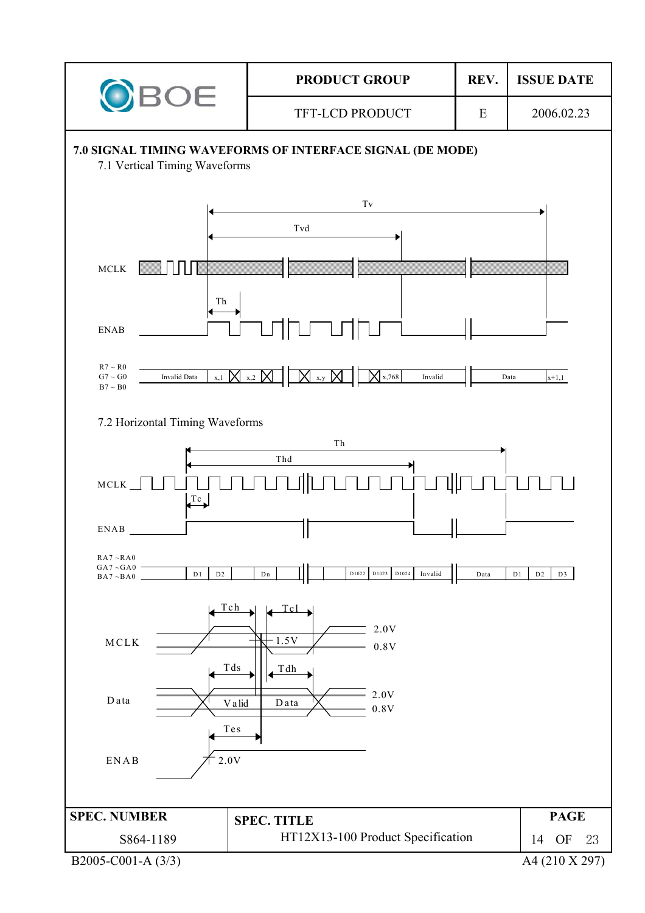![](_page_13_Figure_0.jpeg)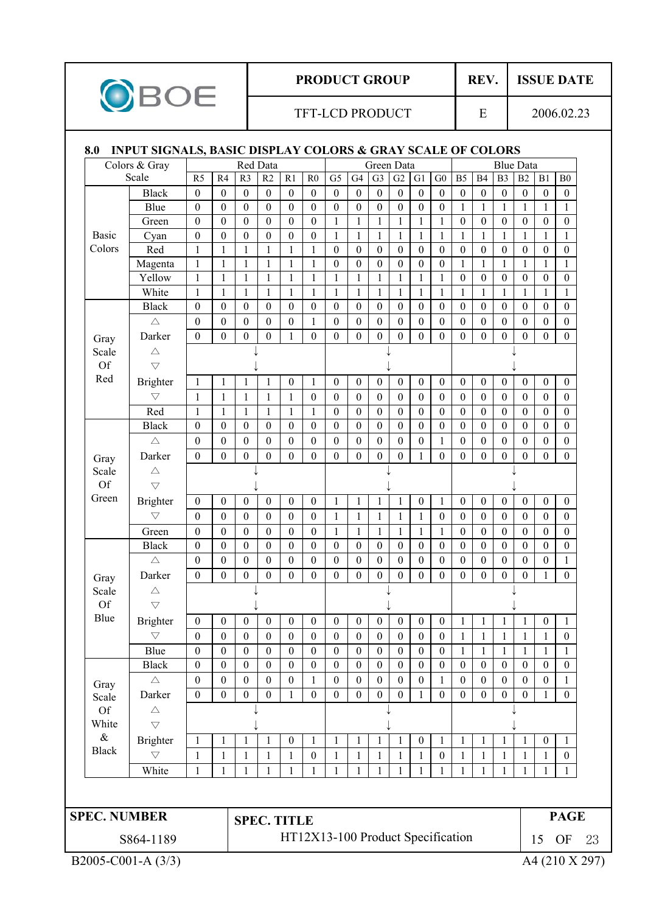![](_page_14_Picture_0.jpeg)

# **PRODUCT GROUP** REV. ISSUE DATE

#### TFT-LCD PRODUCT E 2006.02.23

# **8.0 INPUT SIGNALS, BASIC DISPLAY COLORS & GRAY SCALE OF COLORS**

|                     | Colors & Gray      |                  |                  | Red Data           |                  |                                   |                  |                  |                  | Green Data       |                  |                  |                  |                  |                  |                  | <b>Blue Data</b> |                  |                  |
|---------------------|--------------------|------------------|------------------|--------------------|------------------|-----------------------------------|------------------|------------------|------------------|------------------|------------------|------------------|------------------|------------------|------------------|------------------|------------------|------------------|------------------|
|                     | Scale              | R <sub>5</sub>   | R4               | R <sub>3</sub>     | R2               | R1                                | R <sub>0</sub>   | G <sub>5</sub>   | G4               | G <sub>3</sub>   | G2               | G1               | ${\rm G0}$       | B <sub>5</sub>   | B4               | B <sub>3</sub>   | B2               | B1               | ${\bf B0}$       |
|                     | <b>Black</b>       | $\mathbf{0}$     | $\mathbf{0}$     | $\boldsymbol{0}$   | $\boldsymbol{0}$ | $\boldsymbol{0}$                  | $\boldsymbol{0}$ | $\boldsymbol{0}$ | $\boldsymbol{0}$ | $\boldsymbol{0}$ | $\boldsymbol{0}$ | $\boldsymbol{0}$ | $\boldsymbol{0}$ | $\mathbf{0}$     | $\mathbf{0}$     | $\boldsymbol{0}$ | $\boldsymbol{0}$ | $\boldsymbol{0}$ | $\boldsymbol{0}$ |
|                     | Blue               | $\boldsymbol{0}$ | $\boldsymbol{0}$ | $\boldsymbol{0}$   | $\boldsymbol{0}$ | $\boldsymbol{0}$                  | $\mathbf{0}$     | $\boldsymbol{0}$ | $\boldsymbol{0}$ | $\boldsymbol{0}$ | $\boldsymbol{0}$ | $\boldsymbol{0}$ | $\boldsymbol{0}$ | $\mathbf{1}$     | $\mathbf{1}$     | $\mathbf{1}$     | 1                | $\mathbf{1}$     | $\mathbf{1}$     |
|                     | Green              | $\boldsymbol{0}$ | $\boldsymbol{0}$ | $\boldsymbol{0}$   | $\boldsymbol{0}$ | $\boldsymbol{0}$                  | $\boldsymbol{0}$ | $\mathbf{1}$     | $\mathbf{1}$     | $\mathbf{1}$     | 1                | $\mathbf{1}$     | $\mathbf{1}$     | $\boldsymbol{0}$ | $\boldsymbol{0}$ | $\boldsymbol{0}$ | $\boldsymbol{0}$ | $\boldsymbol{0}$ | $\boldsymbol{0}$ |
| <b>Basic</b>        | Cyan               | $\mathbf{0}$     | $\mathbf{0}$     | $\boldsymbol{0}$   | $\mathbf{0}$     | $\mathbf{0}$                      | $\mathbf{0}$     | $\mathbf{1}$     | $\mathbf{1}$     | $\mathbf{1}$     | 1                | $\mathbf{1}$     | 1                | $\mathbf{1}$     | $\mathbf{1}$     | $\mathbf{1}$     | 1                | $\mathbf{1}$     | 1                |
| Colors              | Red                | $\mathbf{1}$     | 1                | $\mathbf{1}$       | 1                | $\mathbf{1}$                      | 1                | $\boldsymbol{0}$ | $\boldsymbol{0}$ | $\boldsymbol{0}$ | $\mathbf{0}$     | $\boldsymbol{0}$ | $\boldsymbol{0}$ | $\boldsymbol{0}$ | $\mathbf{0}$     | $\boldsymbol{0}$ | $\boldsymbol{0}$ | $\boldsymbol{0}$ | $\mathbf{0}$     |
|                     | Magenta            | 1                | 1                | $\mathbf{1}$       | $\mathbf{1}$     | $\mathbf{1}$                      | 1                | $\boldsymbol{0}$ | $\boldsymbol{0}$ | $\boldsymbol{0}$ | $\boldsymbol{0}$ | $\boldsymbol{0}$ | $\boldsymbol{0}$ | $\mathbf{1}$     | 1                | $\mathbf{1}$     | 1                | 1                | 1                |
|                     | Yellow             | 1                | $\mathbf{1}$     | $\mathbf{1}$       | $\mathbf{1}$     | $\mathbf{1}$                      | 1                | $\mathbf{1}$     | $\mathbf{1}$     | $\mathbf{1}$     | 1                | $\mathbf{1}$     | $\mathbf{1}$     | $\boldsymbol{0}$ | $\boldsymbol{0}$ | $\boldsymbol{0}$ | $\mathbf{0}$     | $\boldsymbol{0}$ | $\boldsymbol{0}$ |
|                     | White              | $\mathbf{1}$     | $\mathbf{1}$     | $\mathbf{1}$       | $\mathbf{1}$     | $\mathbf{1}$                      | $\mathbf{1}$     | $\mathbf{1}$     | $\mathbf{1}$     | $\mathbf{1}$     | $\mathbf{1}$     | $\mathbf{1}$     | $\mathbf{1}$     | $\mathbf{1}$     | $\mathbf{1}$     | $\mathbf{1}$     | $\mathbf{1}$     | $\mathbf{1}$     | $\mathbf{1}$     |
|                     | <b>Black</b>       | $\boldsymbol{0}$ | $\boldsymbol{0}$ | $\boldsymbol{0}$   | $\theta$         | $\boldsymbol{0}$                  | $\boldsymbol{0}$ | $\boldsymbol{0}$ | $\boldsymbol{0}$ | $\mathbf{0}$     | $\boldsymbol{0}$ | $\mathbf{0}$     | $\boldsymbol{0}$ | $\boldsymbol{0}$ | $\mathbf{0}$     | $\boldsymbol{0}$ | $\boldsymbol{0}$ | $\boldsymbol{0}$ | $\boldsymbol{0}$ |
|                     | $\triangle$        | $\boldsymbol{0}$ | $\boldsymbol{0}$ | $\boldsymbol{0}$   | $\boldsymbol{0}$ | $\boldsymbol{0}$                  | 1                | $\boldsymbol{0}$ | $\boldsymbol{0}$ | $\boldsymbol{0}$ | $\boldsymbol{0}$ | $\boldsymbol{0}$ | $\boldsymbol{0}$ | $\boldsymbol{0}$ | $\boldsymbol{0}$ | $\boldsymbol{0}$ | $\boldsymbol{0}$ | $\boldsymbol{0}$ | $\boldsymbol{0}$ |
| Gray                | Darker             | $\boldsymbol{0}$ | $\boldsymbol{0}$ | $\overline{0}$     | $\boldsymbol{0}$ | $\mathbf{1}$                      | $\boldsymbol{0}$ | $\boldsymbol{0}$ | $\mathbf{0}$     | $\overline{0}$   | $\boldsymbol{0}$ | $\mathbf{0}$     | $\mathbf{0}$     | $\boldsymbol{0}$ | $\overline{0}$   | $\overline{0}$   | $\boldsymbol{0}$ | $\boldsymbol{0}$ | $\boldsymbol{0}$ |
| Scale               | $\triangle$        |                  |                  |                    |                  |                                   |                  |                  |                  |                  |                  |                  |                  |                  |                  |                  |                  |                  |                  |
| <b>Of</b>           | $\bigtriangledown$ |                  |                  |                    |                  |                                   |                  |                  |                  |                  |                  |                  |                  |                  |                  |                  |                  |                  |                  |
| Red                 | <b>Brighter</b>    | $\mathbf{1}$     | $\mathbf{1}$     | $\mathbf{1}$       | 1                | $\boldsymbol{0}$                  | $\mathbf{1}$     | $\boldsymbol{0}$ | $\boldsymbol{0}$ | $\boldsymbol{0}$ | $\boldsymbol{0}$ | $\boldsymbol{0}$ | $\boldsymbol{0}$ | $\boldsymbol{0}$ | $\boldsymbol{0}$ | $\boldsymbol{0}$ | $\boldsymbol{0}$ | $\boldsymbol{0}$ | $\boldsymbol{0}$ |
|                     | $\bigtriangledown$ | $\mathbf{1}$     | $\mathbf{1}$     | $\mathbf{1}$       | 1                | $\mathbf{1}$                      | $\boldsymbol{0}$ | $\boldsymbol{0}$ | $\boldsymbol{0}$ | $\mathbf{0}$     | $\boldsymbol{0}$ | $\boldsymbol{0}$ | $\boldsymbol{0}$ | $\mathbf{0}$     | $\mathbf{0}$     | $\boldsymbol{0}$ | $\mathbf{0}$     | $\boldsymbol{0}$ | $\boldsymbol{0}$ |
|                     | Red                | $\mathbf{1}$     | 1                | $\mathbf{1}$       | $\mathbf{1}$     | $\mathbf{1}$                      | 1                | $\boldsymbol{0}$ | $\boldsymbol{0}$ | $\boldsymbol{0}$ | $\mathbf{0}$     | $\boldsymbol{0}$ | $\boldsymbol{0}$ | $\mathbf{0}$     | $\mathbf{0}$     | $\boldsymbol{0}$ | $\mathbf{0}$     | $\boldsymbol{0}$ | $\mathbf{0}$     |
|                     | <b>Black</b>       | $\boldsymbol{0}$ | $\boldsymbol{0}$ | $\boldsymbol{0}$   | $\boldsymbol{0}$ | $\boldsymbol{0}$                  | $\theta$         | $\boldsymbol{0}$ | $\boldsymbol{0}$ | $\boldsymbol{0}$ | $\boldsymbol{0}$ | $\boldsymbol{0}$ | $\boldsymbol{0}$ | $\boldsymbol{0}$ | $\boldsymbol{0}$ | $\boldsymbol{0}$ | $\theta$         | $\boldsymbol{0}$ | $\mathbf{0}$     |
|                     | $\triangle$        | $\boldsymbol{0}$ | $\boldsymbol{0}$ | $\boldsymbol{0}$   | $\boldsymbol{0}$ | $\boldsymbol{0}$                  | $\boldsymbol{0}$ | $\boldsymbol{0}$ | $\boldsymbol{0}$ | $\boldsymbol{0}$ | $\boldsymbol{0}$ | $\boldsymbol{0}$ | $\mathbf{1}$     | $\boldsymbol{0}$ | $\boldsymbol{0}$ | $\boldsymbol{0}$ | $\boldsymbol{0}$ | $\boldsymbol{0}$ | $\boldsymbol{0}$ |
| Gray                | Darker             | $\boldsymbol{0}$ | $\boldsymbol{0}$ | $\boldsymbol{0}$   | $\mathbf{0}$     | $\boldsymbol{0}$                  | $\boldsymbol{0}$ | $\boldsymbol{0}$ | $\mathbf{0}$     | $\boldsymbol{0}$ | $\boldsymbol{0}$ | $\mathbf{1}$     | $\mathbf{0}$     | $\boldsymbol{0}$ | $\boldsymbol{0}$ | $\boldsymbol{0}$ | $\mathbf{0}$     | $\boldsymbol{0}$ | $\boldsymbol{0}$ |
| Scale               | $\triangle$        |                  |                  |                    |                  |                                   |                  |                  |                  |                  |                  |                  |                  |                  |                  |                  |                  |                  |                  |
| Of                  | $\bigtriangledown$ |                  |                  |                    |                  |                                   |                  |                  |                  |                  |                  |                  |                  |                  |                  |                  |                  |                  |                  |
| Green               | Brighter           | $\boldsymbol{0}$ | $\boldsymbol{0}$ | $\mathbf{0}$       | $\boldsymbol{0}$ | $\mathbf{0}$                      | $\boldsymbol{0}$ | $\mathbf{1}$     | $\mathbf{1}$     | 1                | 1                | $\boldsymbol{0}$ | $\mathbf{1}$     | $\boldsymbol{0}$ | $\mathbf{0}$     | $\boldsymbol{0}$ | $\boldsymbol{0}$ | $\boldsymbol{0}$ | $\boldsymbol{0}$ |
|                     | $\bigtriangledown$ | $\mathbf{0}$     | $\boldsymbol{0}$ | $\boldsymbol{0}$   | $\boldsymbol{0}$ | $\boldsymbol{0}$                  | $\boldsymbol{0}$ | $\mathbf{1}$     | 1                | $\mathbf{1}$     | 1                | $\mathbf{1}$     | $\boldsymbol{0}$ | $\boldsymbol{0}$ | $\boldsymbol{0}$ | $\mathbf{0}$     | $\boldsymbol{0}$ | $\boldsymbol{0}$ | $\mathbf{0}$     |
|                     | Green              | $\boldsymbol{0}$ | $\boldsymbol{0}$ | $\boldsymbol{0}$   | $\boldsymbol{0}$ | $\boldsymbol{0}$                  | $\boldsymbol{0}$ | $\mathbf{1}$     | $\mathbf{1}$     | $\mathbf{1}$     | 1                | $\mathbf{1}$     | $\mathbf{1}$     | $\boldsymbol{0}$ | $\boldsymbol{0}$ | $\boldsymbol{0}$ | $\boldsymbol{0}$ | $\boldsymbol{0}$ | $\boldsymbol{0}$ |
|                     | <b>Black</b>       | $\theta$         | $\boldsymbol{0}$ | $\boldsymbol{0}$   | $\boldsymbol{0}$ | $\boldsymbol{0}$                  | $\boldsymbol{0}$ | $\boldsymbol{0}$ | $\boldsymbol{0}$ | $\boldsymbol{0}$ | $\boldsymbol{0}$ | $\boldsymbol{0}$ | $\boldsymbol{0}$ | $\boldsymbol{0}$ | $\boldsymbol{0}$ | $\boldsymbol{0}$ | $\boldsymbol{0}$ | $\boldsymbol{0}$ | $\boldsymbol{0}$ |
|                     | $\triangle$        | $\boldsymbol{0}$ | $\boldsymbol{0}$ | $\boldsymbol{0}$   | $\boldsymbol{0}$ | $\mathbf{0}$                      | $\boldsymbol{0}$ | $\boldsymbol{0}$ | $\boldsymbol{0}$ | $\boldsymbol{0}$ | $\boldsymbol{0}$ | $\boldsymbol{0}$ | $\boldsymbol{0}$ | $\boldsymbol{0}$ | $\mathbf{0}$     | $\boldsymbol{0}$ | $\boldsymbol{0}$ | $\boldsymbol{0}$ | 1                |
| Gray                | Darker             | $\boldsymbol{0}$ | $\boldsymbol{0}$ | $\boldsymbol{0}$   | $\boldsymbol{0}$ | $\boldsymbol{0}$                  | $\boldsymbol{0}$ | $\boldsymbol{0}$ | $\mathbf{0}$     | $\boldsymbol{0}$ | $\boldsymbol{0}$ | $\boldsymbol{0}$ | $\mathbf{0}$     | $\boldsymbol{0}$ | $\overline{0}$   | $\boldsymbol{0}$ | $\theta$         | 1                | $\boldsymbol{0}$ |
| Scale               | $\triangle$        |                  |                  |                    |                  |                                   |                  |                  |                  |                  |                  |                  |                  |                  |                  |                  |                  |                  |                  |
| Of                  | $\bigtriangledown$ |                  |                  |                    |                  |                                   |                  |                  |                  |                  |                  |                  |                  |                  |                  |                  |                  |                  |                  |
| Blue                | Brighter           | $\boldsymbol{0}$ | $\boldsymbol{0}$ | $\boldsymbol{0}$   | $\boldsymbol{0}$ | $\boldsymbol{0}$                  | $\boldsymbol{0}$ | $\boldsymbol{0}$ | $\boldsymbol{0}$ | $\boldsymbol{0}$ | $\boldsymbol{0}$ | $\boldsymbol{0}$ | $\boldsymbol{0}$ | $\mathbf{1}$     | 1                | 1                | 1                | $\boldsymbol{0}$ | 1                |
|                     | $\bigtriangledown$ | $\boldsymbol{0}$ | $\boldsymbol{0}$ | $\boldsymbol{0}$   | $\boldsymbol{0}$ | $\boldsymbol{0}$                  | $\boldsymbol{0}$ | $\boldsymbol{0}$ | $\mathbf{0}$     | $\boldsymbol{0}$ | $\boldsymbol{0}$ | $\boldsymbol{0}$ | $\boldsymbol{0}$ | $\mathbf{1}$     | $\mathbf{1}$     | $\mathbf{1}$     | 1                | $\mathbf{1}$     | $\boldsymbol{0}$ |
|                     | Blue               | $\boldsymbol{0}$ | $\boldsymbol{0}$ | $\boldsymbol{0}$   | $\boldsymbol{0}$ | $\boldsymbol{0}$                  | $\boldsymbol{0}$ | $\boldsymbol{0}$ | $\boldsymbol{0}$ | $\boldsymbol{0}$ | $\boldsymbol{0}$ | $\boldsymbol{0}$ | $\boldsymbol{0}$ | 1                | 1                | 1                | 1                | 1                | 1                |
|                     | <b>Black</b>       | $\overline{0}$   | $\boldsymbol{0}$ | $\boldsymbol{0}$   | $\boldsymbol{0}$ | $\boldsymbol{0}$                  | $\boldsymbol{0}$ | $\boldsymbol{0}$ | $\boldsymbol{0}$ | $\mathbf{0}$     | $\boldsymbol{0}$ | $\mathbf{0}$     | $\boldsymbol{0}$ | $\boldsymbol{0}$ | $\boldsymbol{0}$ | $\boldsymbol{0}$ | $\boldsymbol{0}$ | $\mathbf{0}$     | $\mathbf{0}$     |
|                     | $\triangle$        | $\boldsymbol{0}$ | $\boldsymbol{0}$ | $\boldsymbol{0}$   | $\boldsymbol{0}$ | $\boldsymbol{0}$                  | $\mathbf{1}$     | $\boldsymbol{0}$ | $\boldsymbol{0}$ | $\boldsymbol{0}$ | $\boldsymbol{0}$ | $\boldsymbol{0}$ | $\mathbf{1}$     | $\boldsymbol{0}$ | $\boldsymbol{0}$ | $\boldsymbol{0}$ | $\boldsymbol{0}$ | $\boldsymbol{0}$ | 1                |
| Gray<br>Scale       | Darker             | $\boldsymbol{0}$ | $\boldsymbol{0}$ | $\mathbf{0}$       | $\boldsymbol{0}$ | $\mathbf{1}$                      | $\mathbf{0}$     | $\boldsymbol{0}$ | $\boldsymbol{0}$ | $\overline{0}$   | $\boldsymbol{0}$ | $\mathbf{1}$     | $\boldsymbol{0}$ | $\boldsymbol{0}$ | $\mathbf{0}$     | $\mathbf{0}$     | $\boldsymbol{0}$ | $\mathbf{1}$     | $\boldsymbol{0}$ |
| Of                  | $\triangle$        |                  |                  |                    |                  |                                   |                  |                  |                  |                  |                  |                  |                  |                  |                  |                  |                  |                  |                  |
| White               | $\bigtriangledown$ |                  |                  |                    |                  |                                   |                  |                  |                  |                  |                  |                  |                  |                  |                  |                  |                  |                  |                  |
| $\&$                | <b>Brighter</b>    | $\mathbf{1}$     | 1                | 1                  | 1                | $\boldsymbol{0}$                  | $\mathbf{1}$     | $\mathbf{1}$     | 1                | 1                | 1                | $\boldsymbol{0}$ | $\mathbf{1}$     | $\mathbf{1}$     | 1                | 1                | 1                | $\boldsymbol{0}$ | 1                |
| <b>Black</b>        | $\bigtriangledown$ | $\mathbf{1}$     | $\mathbf{1}$     | $\mathbf{1}$       | $\mathbf{1}$     | $\mathbf{1}$                      | $\boldsymbol{0}$ | $\mathbf{1}$     | $\mathbf{1}$     | 1                | 1                | $\mathbf{1}$     | $\boldsymbol{0}$ | $\mathbf{1}$     | $\mathbf{1}$     | $\mathbf{1}$     | 1                | $\mathbf{1}$     | $\boldsymbol{0}$ |
|                     | White              | 1                | 1                | 1                  | 1                | 1                                 | 1                | 1                | 1                | 1                | 1                | 1                | 1                | 1                | 1                | 1                | 1                | 1                | 1                |
|                     |                    |                  |                  |                    |                  |                                   |                  |                  |                  |                  |                  |                  |                  |                  |                  |                  |                  |                  |                  |
|                     |                    |                  |                  |                    |                  |                                   |                  |                  |                  |                  |                  |                  |                  |                  |                  |                  |                  |                  |                  |
| <b>SPEC. NUMBER</b> |                    |                  |                  | <b>SPEC. TITLE</b> |                  |                                   |                  |                  |                  |                  |                  |                  |                  |                  |                  |                  |                  |                  | <b>PAGE</b>      |
|                     | S864-1189          |                  |                  |                    |                  | HT12X13-100 Product Specification |                  |                  |                  |                  |                  |                  |                  |                  |                  |                  |                  | 15               | OF               |
|                     | B2005-C001-A (3/3) |                  |                  |                    |                  |                                   |                  |                  |                  |                  |                  |                  |                  |                  |                  |                  |                  |                  | A4 (210 X 297)   |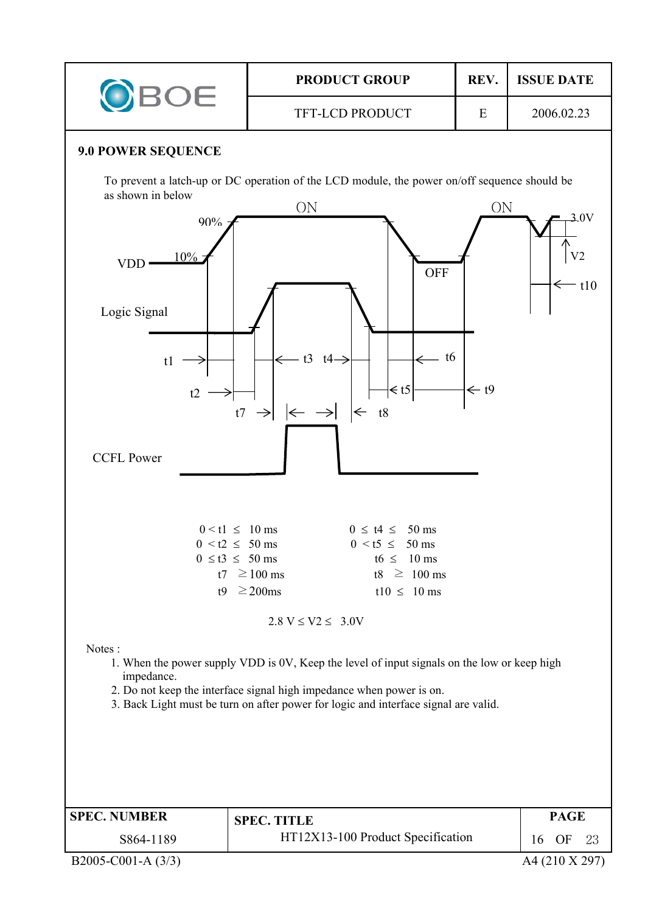![](_page_15_Figure_0.jpeg)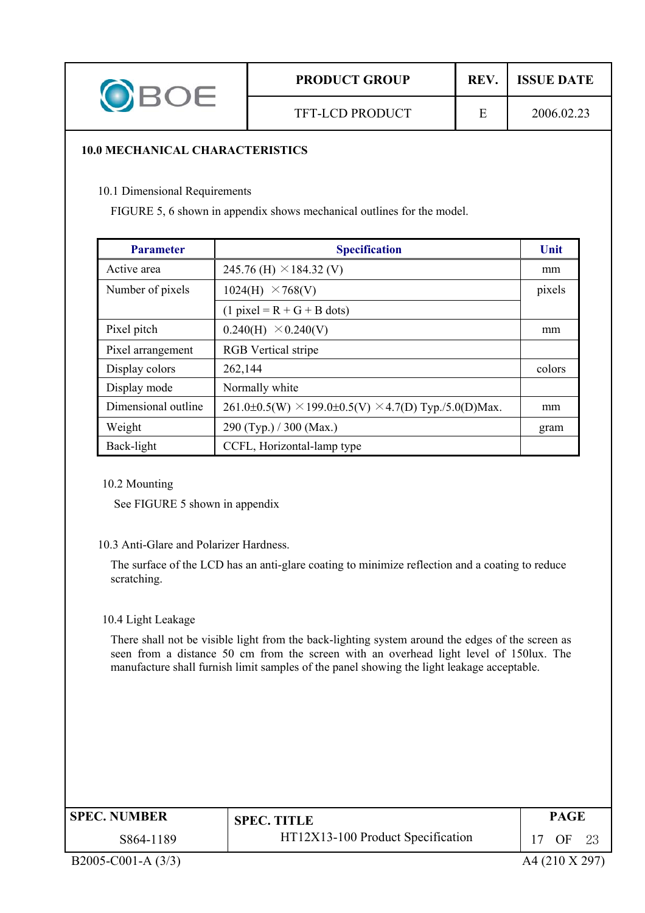|  | <b>PRODUCT GROUP</b>   | <b>REV</b> | <b>ISSUE DATE</b> |  |  |
|--|------------------------|------------|-------------------|--|--|
|  | <b>TFT-LCD PRODUCT</b> |            | 2006.02.23        |  |  |

#### **10.0 MECHANICAL CHARACTERISTICS**

10.1 Dimensional Requirements

FIGURE 5, 6 shown in appendix shows mechanical outlines for the model.

| <b>Parameter</b>    | <b>Specification</b>                                                 | Unit   |
|---------------------|----------------------------------------------------------------------|--------|
| Active area         | 245.76 (H) $\times$ 184.32 (V)                                       | mm     |
| Number of pixels    | 1024(H)<br>$\times$ 768(V)                                           | pixels |
|                     | $(1$ pixel = R + G + B dots)                                         |        |
| Pixel pitch         | 0.240(H)<br>$\times 0.240(V)$                                        | mm     |
| Pixel arrangement   | <b>RGB</b> Vertical stripe                                           |        |
| Display colors      | 262,144                                                              | colors |
| Display mode        | Normally white                                                       |        |
| Dimensional outline | $261.0\pm0.5(W) \times 199.0\pm0.5(V) \times 4.7(D)$ Typ./5.0(D)Max. | mm     |
| Weight              | 290 (Typ.) / 300 (Max.)                                              | gram   |
| Back-light          | CCFL, Horizontal-lamp type                                           |        |

10.2 Mounting

See FIGURE 5 shown in appendix

#### 10.3 Anti-Glare and Polarizer Hardness.

The surface of the LCD has an anti-glare coating to minimize reflection and a coating to reduce scratching.

#### 10.4 Light Leakage

There shall not be visible light from the back-lighting system around the edges of the screen as seen from a distance 50 cm from the screen with an overhead light level of 150lux. The manufacture shall furnish limit samples of the panel showing the light leakage acceptable.

| <b>SPEC. NUMBER</b> | <b>SPEC. TITLE</b>                | PAGE              |
|---------------------|-----------------------------------|-------------------|
| S864-1189           | HT12X13-100 Product Specification | OΕ<br>$2^{\circ}$ |

B2005-C001-A (3/3) A4 (210 X 297)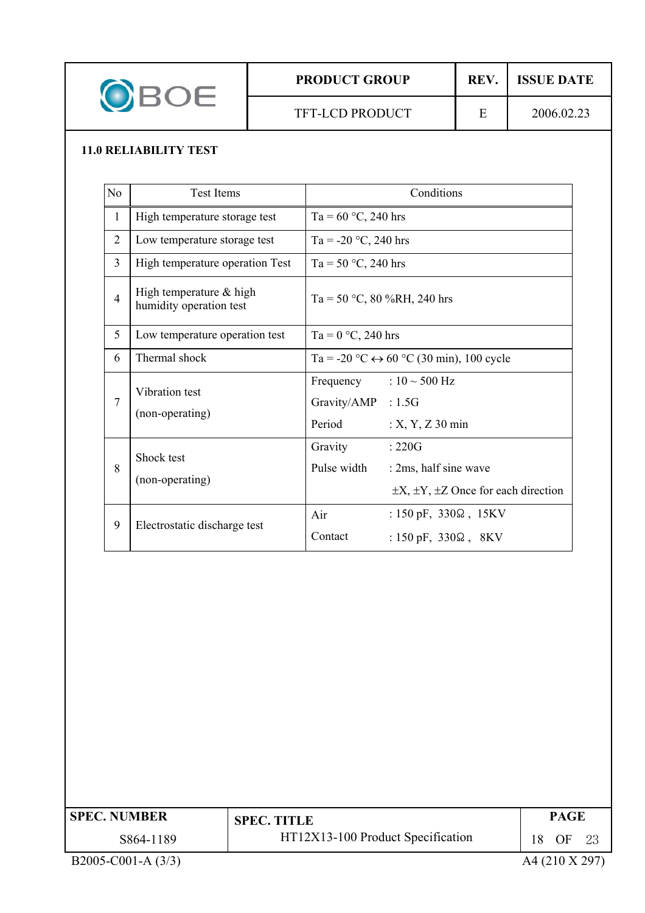| <b>PRODUCT GROUP</b>   | <b>REV</b> | <b>ISSUE DATE</b> |  |
|------------------------|------------|-------------------|--|
| <b>TFT-LCD PRODUCT</b> | ┮          | 2006.02.23        |  |

## **11.0 RELIABILITY TEST**

| N <sub>0</sub> | <b>Test Items</b>                                  | Conditions                                                                                                                  |  |  |  |
|----------------|----------------------------------------------------|-----------------------------------------------------------------------------------------------------------------------------|--|--|--|
| $\mathbf{1}$   | High temperature storage test                      | Ta = $60 °C$ , 240 hrs                                                                                                      |  |  |  |
| $\overline{c}$ | Low temperature storage test                       | Ta = -20 °C, 240 hrs                                                                                                        |  |  |  |
| $\overline{3}$ | High temperature operation Test                    | Ta = 50 °C, 240 hrs                                                                                                         |  |  |  |
| $\overline{4}$ | High temperature & high<br>humidity operation test | Ta = 50 °C, 80 %RH, 240 hrs                                                                                                 |  |  |  |
| 5              | Low temperature operation test                     | Ta = $0 °C$ , 240 hrs                                                                                                       |  |  |  |
| 6              | Thermal shock                                      | Ta = -20 °C $\leftrightarrow$ 60 °C (30 min), 100 cycle                                                                     |  |  |  |
| $\overline{7}$ | Vibration test<br>(non-operating)                  | Frequency : $10 \sim 500$ Hz<br>Gravity/AMP : 1.5G<br>Period<br>$: X, Y, Z$ 30 min                                          |  |  |  |
| 8              | Shock test<br>(non-operating)                      | Gravity<br>$\therefore 220G$<br>Pulse width<br>: 2ms, half sine wave<br>$\pm X$ , $\pm Y$ , $\pm Z$ Once for each direction |  |  |  |
| 9              | Electrostatic discharge test                       | Air<br>: $150 \text{ pF}$ , $330\Omega$ , $15\text{KV}$<br>Contact<br>: $150 \text{ pF}$ , $330\Omega$ , $8\text{KV}$       |  |  |  |

| <b>SPEC. NUMBER</b>  | <b>SPEC. TITLE</b>                | PAGE             |
|----------------------|-----------------------------------|------------------|
| S864-1189            | HT12X13-100 Product Specification | OF<br>18.<br>-23 |
| B2005-C001-A $(3/3)$ |                                   | A4 (210 X 297)   |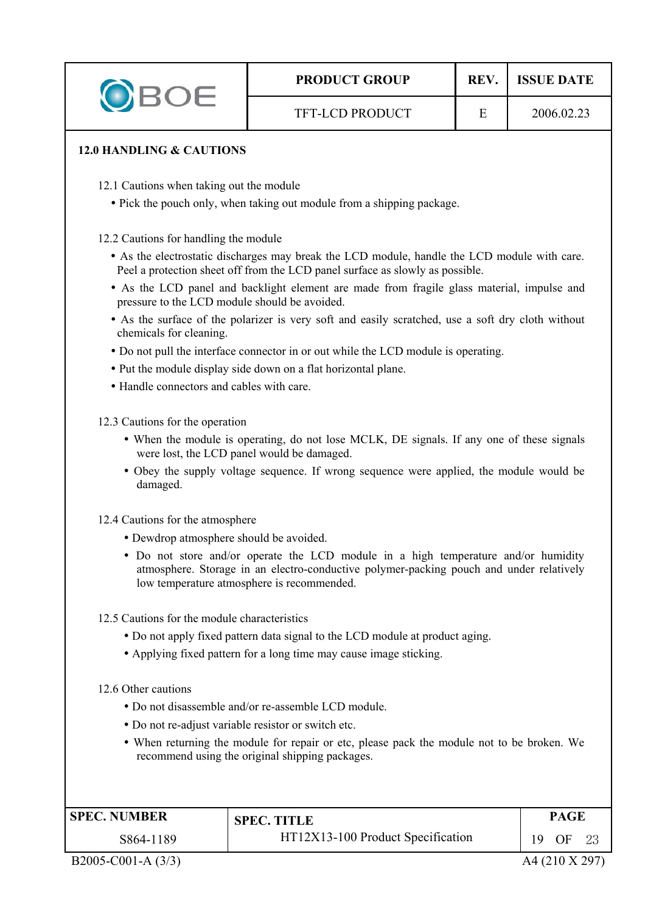|  | <b>PRODUCT GROUP</b>   | <b>REV</b> | <b>ISSUE DATE</b> |  |  |
|--|------------------------|------------|-------------------|--|--|
|  | <b>TFT-LCD PRODUCT</b> | н          | 2006.02.23        |  |  |
|  |                        |            |                   |  |  |

#### **12.0 HANDLING & CAUTIONS**

12.1 Cautions when taking out the module

• Pick the pouch only, when taking out module from a shipping package.

12.2 Cautions for handling the module

- As the electrostatic discharges may break the LCD module, handle the LCD module with care. Peel a protection sheet off from the LCD panel surface as slowly as possible.
- As the LCD panel and backlight element are made from fragile glass material, impulse and pressure to the LCD module should be avoided.
- As the surface of the polarizer is very soft and easily scratched, use a soft dry cloth without chemicals for cleaning.
- Do not pull the interface connector in or out while the LCD module is operating.
- Put the module display side down on a flat horizontal plane.
- Handle connectors and cables with care.

12.3 Cautions for the operation

- When the module is operating, do not lose MCLK, DE signals. If any one of these signals were lost, the LCD panel would be damaged.
- Obey the supply voltage sequence. If wrong sequence were applied, the module would be damaged.

12.4 Cautions for the atmosphere

- Dewdrop atmosphere should be avoided.
- Do not store and/or operate the LCD module in a high temperature and/or humidity atmosphere. Storage in an electro-conductive polymer-packing pouch and under relatively low temperature atmosphere is recommended.
- 12.5 Cautions for the module characteristics
	- Do not apply fixed pattern data signal to the LCD module at product aging.
	- Applying fixed pattern for a long time may cause image sticking.

12.6 Other cautions

- Do not disassemble and/or re-assemble LCD module.
- Do not re-adjust variable resistor or switch etc.
- When returning the module for repair or etc, please pack the module not to be broken. We recommend using the original shipping packages.

| <b>SPEC. NUMBER</b> | <b>SPEC. TITLE</b>                | PAGE            |  |
|---------------------|-----------------------------------|-----------------|--|
| S864-1189           | HT12X13-100 Product Specification | 19<br>OF<br>-23 |  |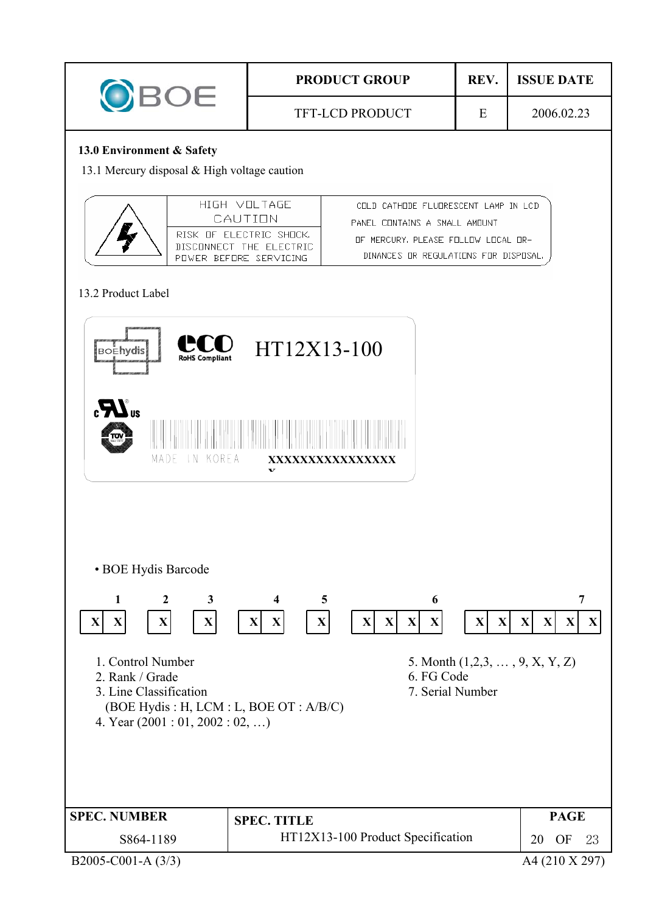| OBOE                                                                      |                                                                              | <b>PRODUCT GROUP</b>   |                                                                                | REV. | <b>ISSUE DATE</b> |  |  |  |
|---------------------------------------------------------------------------|------------------------------------------------------------------------------|------------------------|--------------------------------------------------------------------------------|------|-------------------|--|--|--|
|                                                                           |                                                                              | <b>TFT-LCD PRODUCT</b> |                                                                                | E    | 2006.02.23        |  |  |  |
| 13.0 Environment & Safety<br>13.1 Mercury disposal & High voltage caution |                                                                              |                        |                                                                                |      |                   |  |  |  |
|                                                                           | HIGH VII TAGE<br>CAUTION                                                     |                        | COLD CATHODE FLUDRESCENT LAMP IN LCD<br>PANEL CONTAINS A SMALL AMOUNT          |      |                   |  |  |  |
|                                                                           | RISK OF ELECTRIC SHOCK.<br>DISCONNECT THE ELECTRIC<br>POWER BEFORE SERVICING |                        | MERCURY PLEASE FOLLOW LOCAL OR-<br>ПF<br>DINANCES OR REGULATIONS FOR DISPOSAL, |      |                   |  |  |  |

# 13.2 Product Label

| <b>Boehydis</b><br><b>RoHS Compliant</b>                                                                             | HT12X13-100                                                                                                                             |                                                                                              |
|----------------------------------------------------------------------------------------------------------------------|-----------------------------------------------------------------------------------------------------------------------------------------|----------------------------------------------------------------------------------------------|
| $\boldsymbol{H}$ <sub>us</sub><br>щ<br>MADE<br>KOREA<br>1 N                                                          | XXXXXXXXXXXXXXX                                                                                                                         |                                                                                              |
| · BOE Hydis Barcode<br>$\mathbf{1}$<br>$\mathbf{2}$<br>3<br>$\mathbf X$<br>$\mathbf X$<br>$\mathbf X$<br>$\mathbf X$ | 6<br>4<br>5<br>$\mathbf{X}$<br>$\mathbf X$<br>$\mathbf{X}$<br>$\mathbf{X}$<br>$\mathbf{X}$<br>$\mathbf X$<br>$\mathbf X$<br>$\mathbf X$ | $\overline{7}$<br>$\mathbf{X}$<br>$\mathbf{X}$<br>$\mathbf X$<br>$\mathbf{X}$<br>$\mathbf X$ |
| 1. Control Number<br>2. Rank / Grade<br>3. Line Classification<br>4. Year $(2001:01, 2002:02, )$                     | 5. Month $(1,2,3,\ldots,9,X,Y,Z)$<br>6. FG Code<br>7. Serial Number<br>(BOE Hydis: H, LCM: L, BOE OT: A/B/C)                            |                                                                                              |
| <b>SPEC. NUMBER</b><br>S864-1189<br>B2005-C001-A (3/3)                                                               | <b>SPEC. TITLE</b><br>HT12X13-100 Product Specification                                                                                 | <b>PAGE</b><br>20<br>OF<br>23<br>A4 (210 X 297)                                              |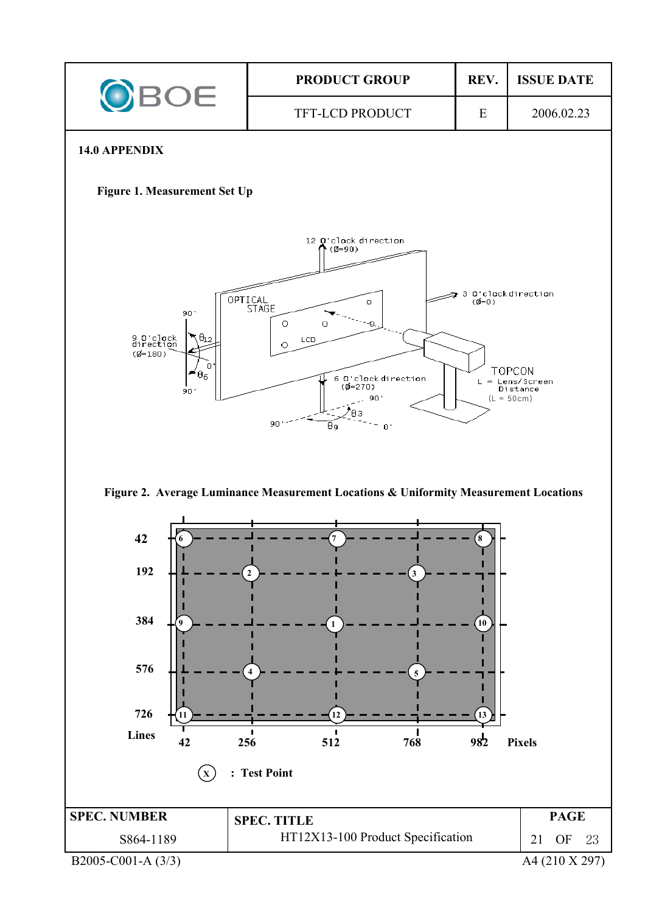![](_page_20_Figure_0.jpeg)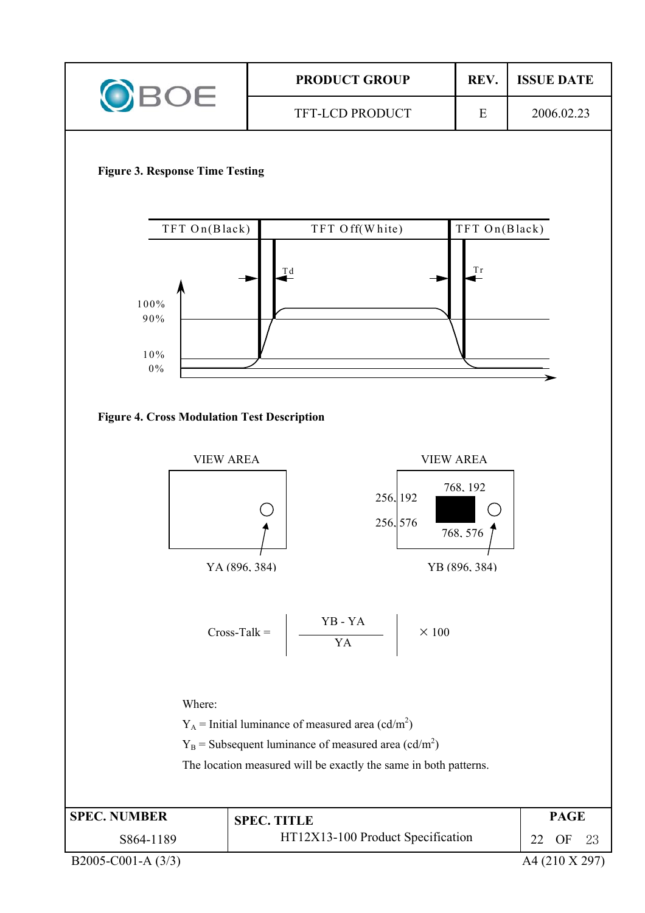![](_page_21_Figure_0.jpeg)